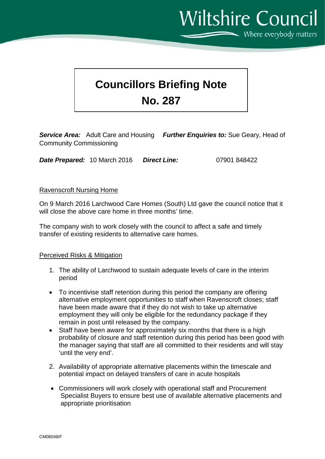Where everybody matters

**Wiltshire Council** 

# **Councillors Briefing Note No. 287**

*Service Area:* Adult Care and Housing *Further Enquiries to:* Sue Geary, Head of Community Commissioning

*Date Prepared:* 10 March 2016 *Direct Line:* 07901 848422

#### Ravenscroft Nursing Home

On 9 March 2016 Larchwood Care Homes (South) Ltd gave the council notice that it will close the above care home in three months' time.

The company wish to work closely with the council to affect a safe and timely transfer of existing residents to alternative care homes.

# Perceived Risks & Mitigation

- 1. The ability of Larchwood to sustain adequate levels of care in the interim period
- To incentivise staff retention during this period the company are offering alternative employment opportunities to staff when Ravenscroft closes; staff have been made aware that if they do not wish to take up alternative employment they will only be eligible for the redundancy package if they remain in post until released by the company.
- Staff have been aware for approximately six months that there is a high probability of closure and staff retention during this period has been good with the manager saying that staff are all committed to their residents and will stay 'until the very end'.
- 2. Availability of appropriate alternative placements within the timescale and potential impact on delayed transfers of care in acute hospitals
- Commissioners will work closely with operational staff and Procurement Specialist Buyers to ensure best use of available alternative placements and appropriate prioritisation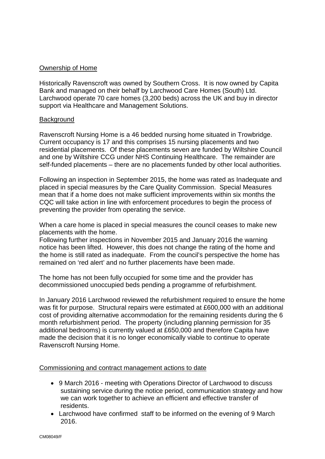# Ownership of Home

Historically Ravenscroft was owned by Southern Cross. It is now owned by Capita Bank and managed on their behalf by Larchwood Care Homes (South) Ltd. Larchwood operate 70 care homes (3,200 beds) across the UK and buy in director support via Healthcare and Management Solutions.

#### **Background**

Ravenscroft Nursing Home is a 46 bedded nursing home situated in Trowbridge. Current occupancy is 17 and this comprises 15 nursing placements and two residential placements. Of these placements seven are funded by Wiltshire Council and one by Wiltshire CCG under NHS Continuing Healthcare. The remainder are self-funded placements – there are no placements funded by other local authorities.

Following an inspection in September 2015, the home was rated as Inadequate and placed in special measures by the Care Quality Commission. Special Measures mean that if a home does not make sufficient improvements within six months the CQC will take action in line with enforcement procedures to begin the process of preventing the provider from operating the service.

When a care home is placed in special measures the council ceases to make new placements with the home.

Following further inspections in November 2015 and January 2016 the warning notice has been lifted. However, this does not change the rating of the home and the home is still rated as inadequate. From the council's perspective the home has remained on 'red alert' and no further placements have been made.

The home has not been fully occupied for some time and the provider has decommissioned unoccupied beds pending a programme of refurbishment.

In January 2016 Larchwood reviewed the refurbishment required to ensure the home was fit for purpose. Structural repairs were estimated at £600,000 with an additional cost of providing alternative accommodation for the remaining residents during the 6 month refurbishment period. The property (including planning permission for 35 additional bedrooms) is currently valued at £650,000 and therefore Capita have made the decision that it is no longer economically viable to continue to operate Ravenscroft Nursing Home.

#### Commissioning and contract management actions to date

- 9 March 2016 meeting with Operations Director of Larchwood to discuss sustaining service during the notice period, communication strategy and how we can work together to achieve an efficient and effective transfer of residents.
- Larchwood have confirmed staff to be informed on the evening of 9 March 2016.